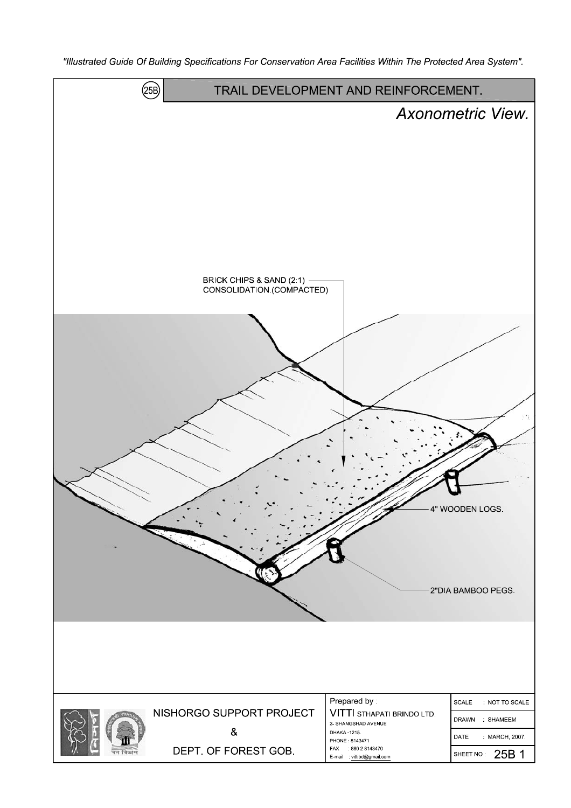"Illustrated Guide Of Building Specifications For Conservation Area Facilities Within The Protected Area System".

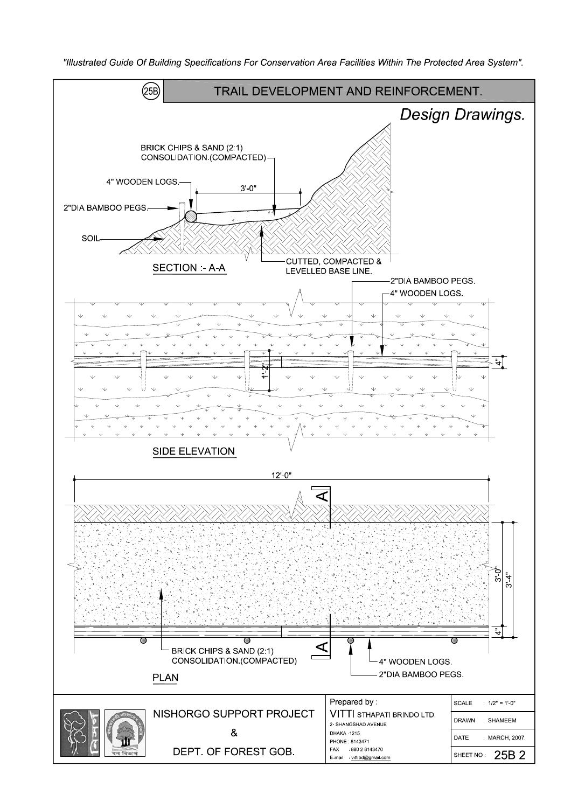

"Illustrated Guide Of Building Specifications For Conservation Area Facilities Within The Protected Area System".